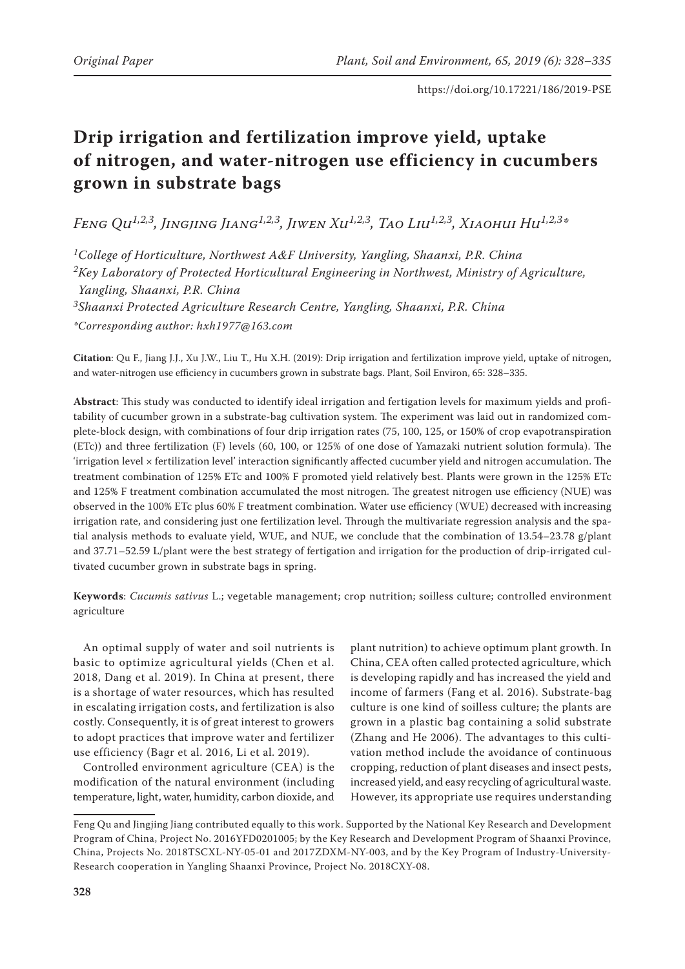# **Drip irrigation and fertilization improve yield, uptake of nitrogen, and water-nitrogen use efficiency in cucumbers grown in substrate bags**

*Feng Qu1,2,3, Jingjing Jiang1,2,3, Jiwen Xu1,2,3, Tao Liu1,2,3, Xiaohui Hu1,2,3\**

*1College of Horticulture, Northwest A&F University, Yangling, Shaanxi, P.R. China 2Key Laboratory of Protected Horticultural Engineering in Northwest, Ministry of Agriculture, Yangling, Shaanxi, P.R. China*

*3Shaanxi Protected Agriculture Research Centre, Yangling, Shaanxi, P.R. China*

*\*Corresponding author: hxh1977@163.com*

**Citation**: Qu F., Jiang J.J., Xu J.W., Liu T., Hu X.H. (2019): Drip irrigation and fertilization improve yield, uptake of nitrogen, and water-nitrogen use efficiency in cucumbers grown in substrate bags. Plant, Soil Environ, 65: 328–335.

**Abstract**: This study was conducted to identify ideal irrigation and fertigation levels for maximum yields and profitability of cucumber grown in a substrate-bag cultivation system. The experiment was laid out in randomized complete-block design, with combinations of four drip irrigation rates (75, 100, 125, or 150% of crop evapotranspiration (ETc)) and three fertilization (F) levels (60, 100, or 125% of one dose of Yamazaki nutrient solution formula). The 'irrigation level × fertilization level' interaction significantly affected cucumber yield and nitrogen accumulation. The treatment combination of 125% ETc and 100% F promoted yield relatively best. Plants were grown in the 125% ETc and 125% F treatment combination accumulated the most nitrogen. The greatest nitrogen use efficiency (NUE) was observed in the 100% ETc plus 60% F treatment combination. Water use efficiency (WUE) decreased with increasing irrigation rate, and considering just one fertilization level. Through the multivariate regression analysis and the spatial analysis methods to evaluate yield, WUE, and NUE, we conclude that the combination of 13.54–23.78 g/plant and 37.71–52.59 L/plant were the best strategy of fertigation and irrigation for the production of drip-irrigated cultivated cucumber grown in substrate bags in spring.

**Keywords**: *Cucumis sativus* L.; vegetable management; crop nutrition; soilless culture; controlled environment agriculture

An optimal supply of water and soil nutrients is basic to optimize agricultural yields (Chen et al. 2018, Dang et al. 2019). In China at present, there is a shortage of water resources, which has resulted in escalating irrigation costs, and fertilization is also costly. Consequently, it is of great interest to growers to adopt practices that improve water and fertilizer use efficiency (Bagr et al. 2016, Li et al. 2019).

Controlled environment agriculture (CEA) is the modification of the natural environment (including temperature, light, water, humidity, carbon dioxide, and

plant nutrition) to achieve optimum plant growth. In China, CEA often called protected agriculture, which is developing rapidly and has increased the yield and income of farmers (Fang et al. 2016). Substrate-bag culture is one kind of soilless culture; the plants are grown in a plastic bag containing a solid substrate (Zhang and He 2006). The advantages to this cultivation method include the avoidance of continuous cropping, reduction of plant diseases and insect pests, increased yield, and easy recycling of agricultural waste. However, its appropriate use requires understanding

Feng Qu and Jingjing Jiang contributed equally to this work. Supported by the National Key Research and Development Program of China, Project No. 2016YFD0201005; by the Key Research and Development Program of Shaanxi Province, China, Projects No. 2018TSCXL-NY-05-01 and 2017ZDXM-NY-003, and by the Key Program of Industry-University-Research cooperation in Yangling Shaanxi Province, Project No. 2018CXY-08.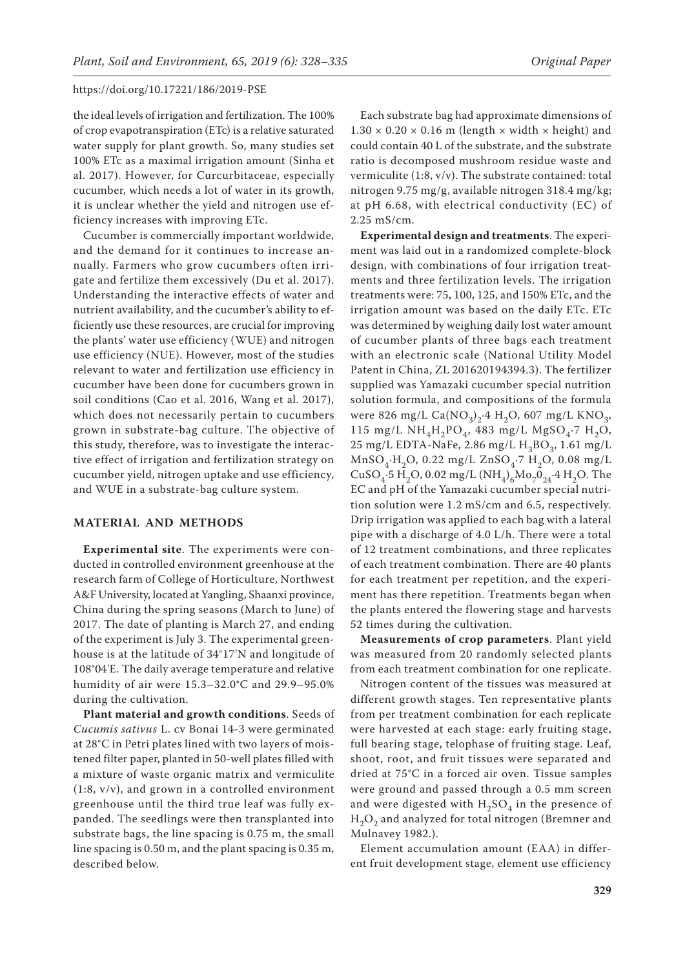the ideal levels of irrigation and fertilization. The 100% of crop evapotranspiration (ETc) is a relative saturated water supply for plant growth. So, many studies set 100% ETc as a maximal irrigation amount (Sinha et al. 2017). However, for Curcurbitaceae, especially cucumber, which needs a lot of water in its growth, it is unclear whether the yield and nitrogen use efficiency increases with improving ETc.

Cucumber is commercially important worldwide, and the demand for it continues to increase annually. Farmers who grow cucumbers often irrigate and fertilize them excessively (Du et al. 2017). Understanding the interactive effects of water and nutrient availability, and the cucumber's ability to efficiently use these resources, are crucial for improving the plants' water use efficiency (WUE) and nitrogen use efficiency (NUE). However, most of the studies relevant to water and fertilization use efficiency in cucumber have been done for cucumbers grown in soil conditions (Cao et al. 2016, Wang et al. 2017), which does not necessarily pertain to cucumbers grown in substrate-bag culture. The objective of this study, therefore, was to investigate the interactive effect of irrigation and fertilization strategy on cucumber yield, nitrogen uptake and use efficiency, and WUE in a substrate-bag culture system.

# **MATERIAL AND METHODS**

**Experimental site**. The experiments were conducted in controlled environment greenhouse at the research farm of College of Horticulture, Northwest A&F University, located at Yangling, Shaanxi province, China during the spring seasons (March to June) of 2017. The date of planting is March 27, and ending of the experiment is July 3. The experimental greenhouse is at the latitude of 34°17'N and longitude of 108°04'E. The daily average temperature and relative humidity of air were 15.3–32.0°C and 29.9–95.0% during the cultivation.

**Plant material and growth conditions**. Seeds of *Cucumis sativus* L. cv Bonai 14-3 were germinated at 28°C in Petri plates lined with two layers of moistened filter paper, planted in 50-well plates filled with a mixture of waste organic matrix and vermiculite (1:8, v/v), and grown in a controlled environment greenhouse until the third true leaf was fully expanded. The seedlings were then transplanted into substrate bags, the line spacing is 0.75 m, the small line spacing is 0.50 m, and the plant spacing is 0.35 m, described below.

Each substrate bag had approximate dimensions of  $1.30 \times 0.20 \times 0.16$  m (length  $\times$  width  $\times$  height) and could contain 40 L of the substrate, and the substrate ratio is decomposed mushroom residue waste and vermiculite (1:8, v/v). The substrate contained: total nitrogen 9.75 mg/g, available nitrogen 318.4 mg/kg; at pH 6.68, with electrical conductivity (EC) of 2.25 mS/cm.

**Experimental design and treatments**. The experiment was laid out in a randomized complete-block design, with combinations of four irrigation treatments and three fertilization levels. The irrigation treatments were: 75, 100, 125, and 150% ETc, and the irrigation amount was based on the daily ETc. ETc was determined by weighing daily lost water amount of cucumber plants of three bags each treatment with an electronic scale (National Utility Model Patent in China, ZL 201620194394.3). The fertilizer supplied was Yamazaki cucumber special nutrition solution formula, and compositions of the formula were 826 mg/L Ca( $\text{NO}_3$ )<sub>2</sub>.4 H<sub>2</sub>O, 607 mg/L KNO<sub>3</sub>, 115 mg/L NH<sub>4</sub>H<sub>2</sub>PO<sub>4</sub>, 483 mg/L MgSO<sub>4</sub>.7 H<sub>2</sub>O, 25 mg/L EDTA-NaFe, 2.86 mg/L  $H_3BO_3$ , 1.61 mg/L  $MnSO<sub>4</sub>·H<sub>2</sub>O$ , 0.22 mg/L ZnSO<sub>4</sub>·7 H<sub>2</sub>O, 0.08 mg/L CuSO<sub>4</sub>.5 H<sub>2</sub>O, 0.02 mg/L (NH<sub>4</sub>)<sub>6</sub>Mo<sub>7</sub>0<sub>24</sub>.4 H<sub>2</sub>O. The EC and pH of the Yamazaki cucumber special nutrition solution were 1.2 mS/cm and 6.5, respectively. Drip irrigation was applied to each bag with a lateral pipe with a discharge of 4.0 L/h. There were a total of 12 treatment combinations, and three replicates of each treatment combination. There are 40 plants for each treatment per repetition, and the experiment has there repetition. Treatments began when the plants entered the flowering stage and harvests 52 times during the cultivation.

**Measurements of crop parameters**. Plant yield was measured from 20 randomly selected plants from each treatment combination for one replicate.

Nitrogen content of the tissues was measured at different growth stages. Ten representative plants from per treatment combination for each replicate were harvested at each stage: early fruiting stage, full bearing stage, telophase of fruiting stage. Leaf, shoot, root, and fruit tissues were separated and dried at 75°C in a forced air oven. Tissue samples were ground and passed through a 0.5 mm screen and were digested with  $H_2SO_4$  in the presence of  $H_2O_2$  and analyzed for total nitrogen (Bremner and Mulnavey 1982.).

Element accumulation amount (EAA) in different fruit development stage, element use efficiency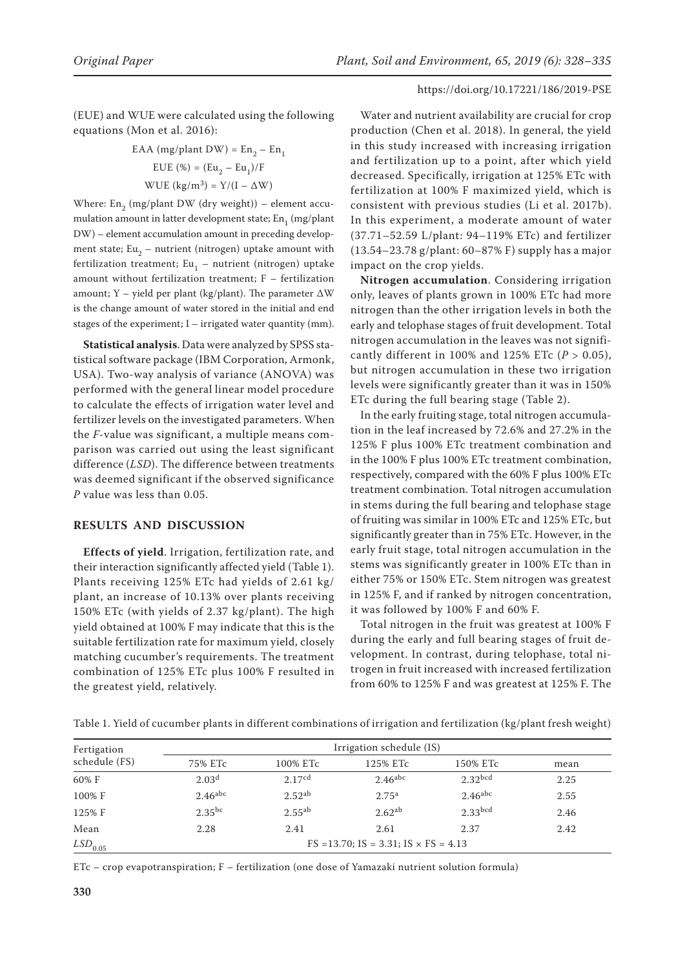(EUE) and WUE were calculated using the following equations (Mon et al. 2016):

EAA (mg/plant DW) = En2 – En1 EUE (%) = (Eu2 – Eu1)/F WUE (kg/m3) = Y/(I – ΔW)

Where:  $En_2$  (mg/plant DW (dry weight)) – element accumulation amount in latter development state;  $En_1 (mg/plant)$ DW) – element accumulation amount in preceding development state; Eu<sub>2</sub> – nutrient (nitrogen) uptake amount with fertilization treatment; Eu<sub>1</sub> – nutrient (nitrogen) uptake amount without fertilization treatment; F – fertilization amount; Y – yield per plant (kg/plant). The parameter  $\Delta W$ is the change amount of water stored in the initial and end stages of the experiment; I – irrigated water quantity (mm).

**Statistical analysis**. Data were analyzed by SPSS statistical software package (IBM Corporation, Armonk, USA). Two-way analysis of variance (ANOVA) was performed with the general linear model procedure to calculate the effects of irrigation water level and fertilizer levels on the investigated parameters. When the *F*-value was significant, a multiple means comparison was carried out using the least significant difference (*LSD*). The difference between treatments was deemed significant if the observed significance *P* value was less than 0.05.

## **RESULTS AND DISCUSSION**

**Effects of yield**. Irrigation, fertilization rate, and their interaction significantly affected yield (Table 1). Plants receiving 125% ETc had yields of 2.61 kg/ plant, an increase of 10.13% over plants receiving 150% ETc (with yields of 2.37 kg/plant). The high yield obtained at 100% F may indicate that this is the suitable fertilization rate for maximum yield, closely matching cucumber's requirements. The treatment combination of 125% ETc plus 100% F resulted in the greatest yield, relatively.

Water and nutrient availability are crucial for crop production (Chen et al. 2018). In general, the yield in this study increased with increasing irrigation and fertilization up to a point, after which yield decreased. Specifically, irrigation at 125% ETc with fertilization at 100% F maximized yield, which is consistent with previous studies (Li et al. 2017b). In this experiment, a moderate amount of water (37.71–52.59 L/plant: 94–119% ETc) and fertilizer (13.54–23.78 g/plant: 60–87% F) supply has a major impact on the crop yields.

**Nitrogen accumulation**. Considering irrigation only, leaves of plants grown in 100% ETc had more nitrogen than the other irrigation levels in both the early and telophase stages of fruit development. Total nitrogen accumulation in the leaves was not significantly different in 100% and 125% ETc (*P* > 0.05), but nitrogen accumulation in these two irrigation levels were significantly greater than it was in 150% ETc during the full bearing stage (Table 2).

In the early fruiting stage, total nitrogen accumulation in the leaf increased by 72.6% and 27.2% in the 125% F plus 100% ETc treatment combination and in the 100% F plus 100% ETc treatment combination, respectively, compared with the 60% F plus 100% ETc treatment combination. Total nitrogen accumulation in stems during the full bearing and telophase stage of fruiting was similar in 100% ETc and 125% ETc, but significantly greater than in 75% ETc. However, in the early fruit stage, total nitrogen accumulation in the stems was significantly greater in 100% ETc than in either 75% or 150% ETc. Stem nitrogen was greatest in 125% F, and if ranked by nitrogen concentration, it was followed by 100% F and 60% F.

Total nitrogen in the fruit was greatest at 100% F during the early and full bearing stages of fruit development. In contrast, during telophase, total nitrogen in fruit increased with increased fertilization from 60% to 125% F and was greatest at 125% F. The

| Fertigation           | Irrigation schedule (IS)                           |                    |                       |                       |      |  |  |
|-----------------------|----------------------------------------------------|--------------------|-----------------------|-----------------------|------|--|--|
| schedule (FS)         | 75% ETc                                            | 100% ETc           | 125% ETc              | 150% ETc              | mean |  |  |
| 60% F                 | 2.03 <sup>d</sup>                                  | 2.17cd             | $2.46$ <sup>abc</sup> | 2.32 <sub>bcd</sub>   | 2.25 |  |  |
| 100% F                | $2.46$ <sup>abc</sup>                              | 2.52 <sup>ab</sup> | 2.75 <sup>a</sup>     | $2.46$ <sup>abc</sup> | 2.55 |  |  |
| 125% F                | $2.35^{bc}$                                        | $2.55^{ab}$        | 2.62 <sup>ab</sup>    | $2.33$ bcd            | 2.46 |  |  |
| Mean                  | 2.28                                               | 2.41               | 2.61                  | 2.37                  | 2.42 |  |  |
| $LSD$ <sub>0.05</sub> | $FS = 13.70$ ; $IS = 3.31$ ; $IS \times FS = 4.13$ |                    |                       |                       |      |  |  |

Table 1. Yield of cucumber plants in different combinations of irrigation and fertilization (kg/plant fresh weight)

ETc – crop evapotranspiration; F – fertilization (one dose of Yamazaki nutrient solution formula)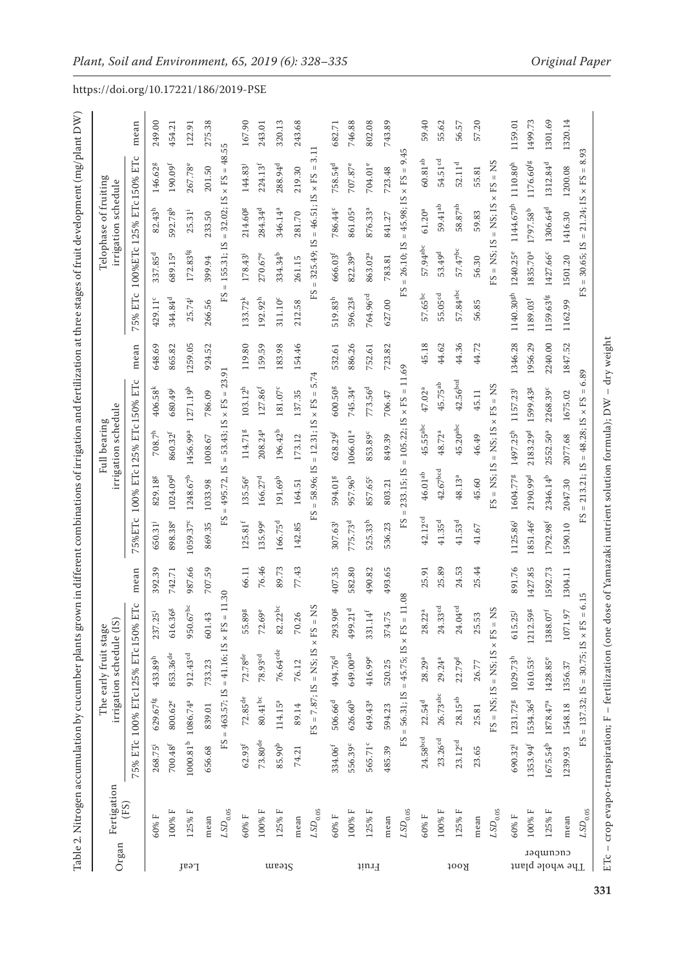| Organ                       | Fertigation  |                                           |                      | irrigation schedule (IS)<br>The early fruit stage |                                          |         |                      |                                         | irrigation schedule<br>Full bearing |                                    |         |                       |                            | Telophase of fruiting<br>irrigation schedule |                                  |         |
|-----------------------------|--------------|-------------------------------------------|----------------------|---------------------------------------------------|------------------------------------------|---------|----------------------|-----------------------------------------|-------------------------------------|------------------------------------|---------|-----------------------|----------------------------|----------------------------------------------|----------------------------------|---------|
|                             | (FS)         | 75% ETc                                   |                      | 100% ETc125% ETc150%                              | EТс                                      | mean    | 75%ETc               |                                         |                                     | 100% ETc125% ETc150% ETc           | mean    | ETC<br>5%<br>$\sim$   |                            |                                              | 100%ETc 125% ETc150% ETc         | mean    |
|                             | 60% F        | $268.75^{i}$                              | 629.67 <sup>fg</sup> | $433.89^{\rm h}$                                  | $25^{\rm i}$<br>237.                     | 392.39  | 650.31               | 829.188                                 | $708.7^{\rm h}$                     | $406.58^{k}$                       | 648.69  | 429.11°               | 337.85 <sup>d</sup>        | $82.43^{\rm h}$                              | 146.62 <sup>g</sup>              | 249.00  |
|                             | 100% F       | $700.48^{\rm f}$                          | 800.62 <sup>e</sup>  | 853.36 <sup>de</sup>                              | 616.36 <sup>g</sup>                      | 742.71  | 898.38 <sup>e</sup>  | 1024.09 <sup>d</sup>                    | 860.32 <sup>f</sup>                 | 680.49 <sup>i</sup>                | 865.82  | 344.84 <sup>d</sup>   | 689.15 <sup>a</sup>        | 592.78 <sup>b</sup>                          | 190.09 <sup>f</sup>              | 454.21  |
| Peaf                        | 125% F       | 1000.81 <sup>b</sup> 1086.74 <sup>a</sup> |                      | 912.43cd                                          | 950.67bc                                 | 987.66  | 1059.37c             | 1248.67 <sup>b</sup>                    | 1456.99ª                            | 1271.19 <sup>b</sup>               | 1259.05 | $25.74^{i}$           | $172.83$ fg                | $25.31^{i}$                                  | 267.78e                          | 122.91  |
|                             | mean         | 656.68                                    | 839.01               | 733.23                                            | 601.43                                   | 707.59  | 869.35               | 1033.98                                 | 1008.67                             | 786.09                             | 924.52  | 266.56                | 399.94                     | 233.50                                       | 201.50                           | 275.38  |
|                             | $LSD_{0.05}$ | FS                                        |                      | = 463.57; IS = 41.16; IS × FS                     | $= 11.30$                                |         | ΕS                   | $= 495.72,$ IS                          | $= 53.43;$ IS $\times$ FS $=$       | 23.91                              |         | FS                    | 155.31; IS<br>$\bar{\Pi}$  | 32.02; IS<br>$\vert\vert$                    | 48.<br>$\times$ FS =             | 55      |
|                             | 60% F        | $62.93^{\rm f}$                           | $72.85^{\rm de}$     | $72.78^{\rm de}$                                  | 89g<br>55.                               | 66.11   | $125.81^{\rm f}$     | 135.56 <sup>e</sup>                     | 114.718                             | $103.12^{\rm h}$                   | 119.80  | $133.72^{k}$          | $178.43^{i}$               | 214.608                                      | 144.83                           | 167.90  |
|                             | 100% F       | $73.80^{\rm de}$                          | $80.41^{\rm bc}$     | $78.93^{\rm cd}$                                  | 72.69 <sup>e</sup>                       | 76.46   | 135.99e              | 166.27 <sup>d</sup>                     | 208.24 <sup>a</sup>                 | 127.86 <sup>f</sup>                | 159.59  | $192.92^{h}$          | 270.67e                    | $284.34^{d}$                                 | $224.13^{f}$                     | 243.01  |
| Steam                       | 125% F       | $85.90^{\rm b}$                           | 114.15 <sup>a</sup>  | $76.64^{\rm cde}$                                 | $82.22^{bc}$                             | 89.73   | 166.75 <sup>d</sup>  | 191.69 <sup>b</sup>                     | 196.42 <sup>b</sup>                 | $181.07^{\rm c}$                   | 183.98  | 311.10 <sup>c</sup>   | 334.34 <sup>b</sup>        | 346.14 <sup>a</sup>                          | 288.94 <sup>d</sup>              | 320.13  |
|                             | mean         | 74.21                                     | 89.14                | 76.12                                             | 26<br>70.                                | 77.43   | 142.85               | 164.51                                  | 173.12                              | 137.35                             | 154.46  | 212.58                | 261.15                     | 281.70                                       | 219.30                           | 243.68  |
|                             | $LSD_{0.05}$ |                                           |                      | $FS = 7.87$ ; $IS = NS$ ; $IS \times FS =$        | SN                                       |         | FS                   | 58.96; IS<br>$\mathop{\rm II}\nolimits$ | $= 12.31; IS$                       | 5.74<br>$\parallel$<br>$\times$ FS |         | FS                    | 325.49; IS<br>$\mathbf{I}$ | $= 46.51; IS$                                | ကဲ<br>$\times$ FS                | $\Xi$   |
|                             | $60\%$ F     | $334.06^{f}$                              | 506.66 <sup>d</sup>  | 494.76 <sup>d</sup>                               | 293.908                                  | 407.35  | $307.63^{i}$         | 594.018                                 | $628.29^{f}$                        | 600.508                            | 532.61  | $519.83^h$            | $666.03^{\rm f}$           | 786.44°                                      | 758.54 <sup>d</sup>              | 682.71  |
|                             | 100% F       | 556.39c                                   | 626.60 <sup>b</sup>  | 649.00 <sup>ab</sup>                              | 499.21 <sup>d</sup>                      | 582.80  | 775.73 <sup>d</sup>  | 957.96 <sup>b</sup>                     | 1066.01ª                            | 745.34 <sup>e</sup>                | 886.26  | 596.238               | $822.39^{b}$               | 861.05 <sup>a</sup>                          | 707.87e                          | 746.88  |
| Fruit                       | 125% F       | 565.71°                                   | 649.43ª              | 416.99e                                           | $14^{\rm f}$<br>331.                     | 490.82  | 525.33h              | 857.65°                                 | 853.89c                             | 773.56 <sup>d</sup>                | 752.61  | 764.96 <sup>cd</sup>  | 863.02ª                    | 876.33ª                                      | 704.01°                          | 802.08  |
|                             | mean         | 485.39                                    | 594.23               | 520.25                                            | 374.75                                   | 493.65  | 536.23               | 803.21                                  | 849.39                              | 706.47                             | 723.82  | 627.00                | 783.81                     | 841.27                                       | 723.48                           | 743.89  |
|                             | $LSD_{0.05}$ | ΕS                                        |                      | $= 56.31$ ; IS = 45.75; IS × FS                   | 11.08                                    |         | FS                   | 233.15; IS<br>$\lvert \rvert$           | $= 105.22$ ; IS × FS =              |                                    | 11.69   | ΕS                    | 26.10; IS<br>$\bar{\Pi}$   | $= 45.98; IS$                                | 9.45<br>$\times$ FS =            |         |
|                             | 60% F        | $24.58^{bcd}$                             | 22.54 <sup>d</sup>   | 28.29 <sup>a</sup>                                | $28.22^{a}$                              | 25.91   | 42.12 <sup>cd</sup>  | $46.01^{\rm ab}$                        | $45.55^{\rm abc}$                   | 47.02 <sup>a</sup>                 | 45.18   | $57.65^{bc}$          | $57.94\rm{^{abc}}$         | $61.20^{a}$                                  | $60.81^{ab}$                     | 59.40   |
|                             | $100\%$ F    | 23.26 <sup>cd</sup>                       | $26.73^{\rm abc}$    | $29.24^{a}$                                       | 33 <sup>cd</sup><br>24.                  | 25.89   | $41.35^{\rm d}$      | $42.67bcd$                              | 48.72ª                              | $45.75^{\rm ab}$                   | 44.62   | 55.05 <sup>cd</sup>   | 53.49 <sup>d</sup>         | $59.41\mathrm{^{ab}}$                        | 54.51cd                          | 55.62   |
| Root                        | 125% F       | 23.12 <sup>cd</sup>                       | $28.15^{ab}$         | 22.79 <sup>d</sup>                                | $24.04^{\rm cd}$                         | 24.53   | $41.53^{\rm d}$      | 48.13 <sup>a</sup>                      | $45.20$ abc                         | 42.56bcd                           | 44.36   | 57.84abc              | $57.47^{\rm bc}$           | $58.87\mathrm{^{ab}}$                        | 52.11 <sup>d</sup>               | 56.57   |
|                             | mean         | 23.65                                     | 25.81                | 26.77                                             | 53<br>25.                                | 25.44   | $41.67\,$            | 45.60                                   | 46.49                               | 45.11                              | 44.72   | 56.85                 | 56.30                      | 59.83                                        | 55.81                            | 57.20   |
|                             | $LSD_{0.05}$ |                                           |                      | $FS = NS; IS = NS; IS$                            | <b>SN</b><br>$=$ S <sub>3</sub> $\times$ |         |                      | $FS = NS; IS$                           | $=$ NS; IS                          | $\times$ FS = NS                   |         |                       |                            | $FS = NS$ ; $IS = NS$ ; $IS$                 | $XFS = NS$                       |         |
|                             | 60% F        | 690.32 <sup>i</sup>                       | 1231.728             | $1029.73^h$                                       | $25^{j}$<br>615.                         | 891.76  | 1125.86              | 1604.778                                | 1497.25h                            | 1157.23                            | 1346.28 | 1140.30gh             | 1240.25 <sup>e</sup>       | 1144.67 <sup>gh</sup>                        | 1110.80 <sup>h</sup>             | 1159.01 |
|                             | 100% F       | 1353.94 <sup>f</sup>                      | 1534.36 <sup>d</sup> | 1610.53°                                          | 59g<br>1212.                             | 1427.85 | 1851.46 <sup>e</sup> | 2190.99 <sup>d</sup>                    | 2183.29 <sup>d</sup>                | 1599.438                           | 1956.29 | $1189.03^{f}$         | 1835.70ª                   | 1797.58 <sup>b</sup>                         | 1176.60 <sup>fg</sup>            | 1499.73 |
| cacamper<br>The whole plant | 125% F       | $1675.54^{b}$                             | 1878.47 <sup>a</sup> | 1428.85e                                          | $07^{\rm f}$<br>1388.                    | 1592.73 | 1792.98 <sup>f</sup> | 2346.14 <sup>b</sup>                    | 2552.50ª                            | 2268.39c                           | 2240.00 | 1159.63 <sup>fg</sup> | 1427.66°                   | 1306.64 <sup>d</sup>                         | 1312.84 <sup>d</sup>             | 1301.69 |
|                             | mean         | 1239.93                                   | 1548.18              | 1356.37                                           | .97<br>1071                              | 1304.11 | 1590.10              | 2047.30                                 | 2077.68                             | 1675.02                            | 1847.52 | 1162.99               | 1501.20                    | 1416.30                                      | 1200.08                          | 1320.14 |
|                             | $LSD_{0.05}$ | FS                                        |                      | $= 137.32$ ; IS = 30.75; IS × FS                  | 6.15<br>$\sf II$                         |         | FS                   |                                         | $= 213.21$ ; IS = 48.28; IS × FS    | $\, \parallel$                     | 6.89    | FS                    | $= 30.65; IS$              | $= 21.24$ ; IS $\times$ FS                   | ∞ं<br>$\mathop{\rm II}\nolimits$ | 93      |

**331**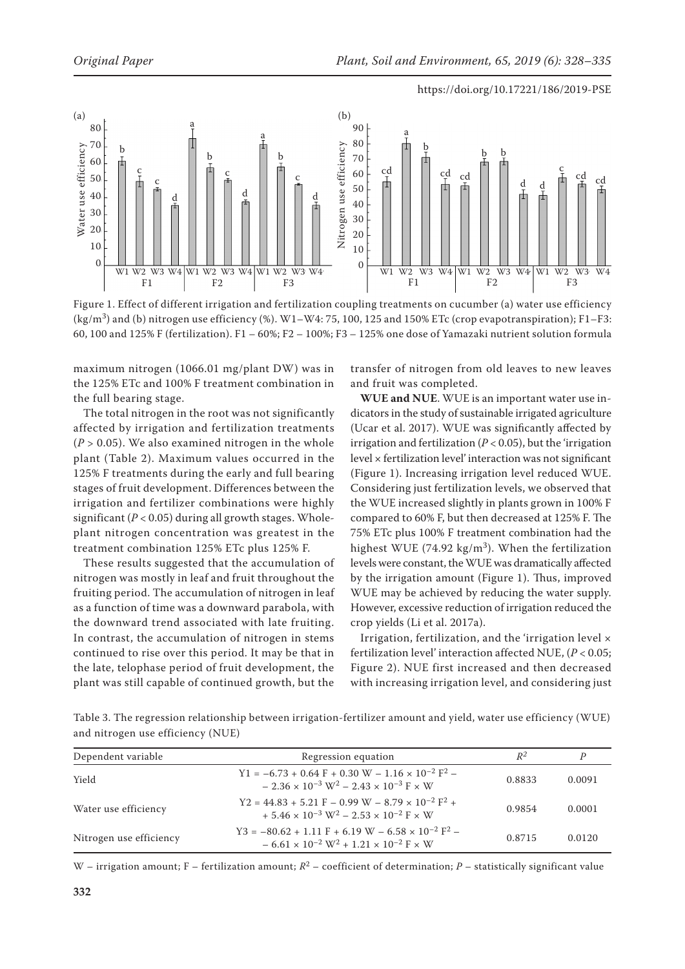

Figure 1. Effect of different irrigation and fertilization coupling treatments on cucumber (a) water use efficiency  $(kg/m<sup>3</sup>)$  and (b) nitrogen use efficiency (%). W1–W4: 75, 100, 125 and 150% ETc (crop evapotranspiration); F1–F3: 60, 100 and 125% F (fertilization). F1 – 60%; F2 – 100%; F3 – 125% one dose of Yamazaki nutrient solution formula

maximum nitrogen (1066.01 mg/plant DW) was in the 125% ETc and 100% F treatment combination in the full bearing stage.

The total nitrogen in the root was not significantly affected by irrigation and fertilization treatments  $(P > 0.05)$ . We also examined nitrogen in the whole plant (Table 2). Maximum values occurred in the 125% F treatments during the early and full bearing stages of fruit development. Differences between the irrigation and fertilizer combinations were highly significant (*P* < 0.05) during all growth stages. Wholeplant nitrogen concentration was greatest in the treatment combination 125% ETc plus 125% F.

These results suggested that the accumulation of nitrogen was mostly in leaf and fruit throughout the fruiting period. The accumulation of nitrogen in leaf as a function of time was a downward parabola, with the downward trend associated with late fruiting. In contrast, the accumulation of nitrogen in stems continued to rise over this period. It may be that in the late, telophase period of fruit development, the plant was still capable of continued growth, but the

transfer of nitrogen from old leaves to new leaves and fruit was completed.

**WUE and NUE**. WUE is an important water use indicators in the study of sustainable irrigated agriculture (Ucar et al. 2017). WUE was significantly affected by irrigation and fertilization (*P* < 0.05), but the 'irrigation level × fertilization level' interaction was not significant (Figure 1). Increasing irrigation level reduced WUE. Considering just fertilization levels, we observed that the WUE increased slightly in plants grown in 100% F compared to 60% F, but then decreased at 125% F. The 75% ETc plus 100% F treatment combination had the highest WUE (74.92 kg/m<sup>3</sup>). When the fertilization levels were constant, the WUE was dramatically affected by the irrigation amount (Figure 1). Thus, improved WUE may be achieved by reducing the water supply. However, excessive reduction of irrigation reduced the crop yields (Li et al. 2017a).

Irrigation, fertilization, and the 'irrigation level × fertilization level' interaction affected NUE, (*P* < 0.05; Figure 2). NUE first increased and then decreased with increasing irrigation level, and considering just

Table 3. The regression relationship between irrigation-fertilizer amount and yield, water use efficiency (WUE) and nitrogen use efficiency (NUE)

| Dependent variable      | Regression equation                                                                                                                       | $R^2$  |        |
|-------------------------|-------------------------------------------------------------------------------------------------------------------------------------------|--------|--------|
| Yield                   | $Y1 = -6.73 + 0.64 F + 0.30 W - 1.16 \times 10^{-2} F^2$<br>$-2.36 \times 10^{-3}$ W <sup>2</sup> $-2.43 \times 10^{-3}$ F $\times$ W     | 0.8833 | 0.0091 |
| Water use efficiency    | $Y2 = 44.83 + 5.21 F - 0.99 W - 8.79 \times 10^{-2} F^2 +$<br>$+ 5.46 \times 10^{-3}$ W <sup>2</sup> – 2.53 $\times 10^{-2}$ F $\times$ W | 0.9854 | 0.0001 |
| Nitrogen use efficiency | $Y3 = -80.62 + 1.11 F + 6.19 W - 6.58 \times 10^{-2} F^2$<br>$-6.61 \times 10^{-2}$ W <sup>2</sup> + 1.21 $\times 10^{-2}$ F $\times$ W   | 0.8715 | 0.0120 |

W – irrigation amount; F – fertilization amount;  $R^2$  – coefficient of determination; P – statistically significant value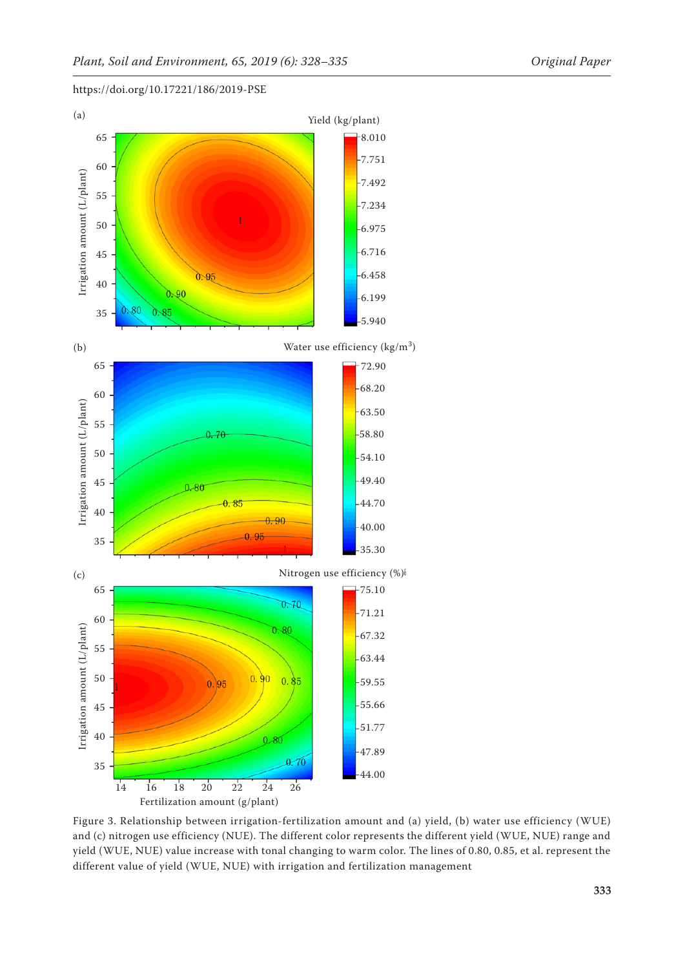

https://doi.org/10.17221/186/2019-PSE

Figure 3. Relationship between irrigation-fertilization amount and (a) yield, (b) water use efficiency (WUE) and (c) nitrogen use efficiency (NUE). The different color represents the different yield (WUE, NUE) range and yield (WUE, NUE) value increase with tonal changing to warm color. The lines of 0.80, 0.85, et al. represent the different value of yield (WUE, NUE) with irrigation and fertilization management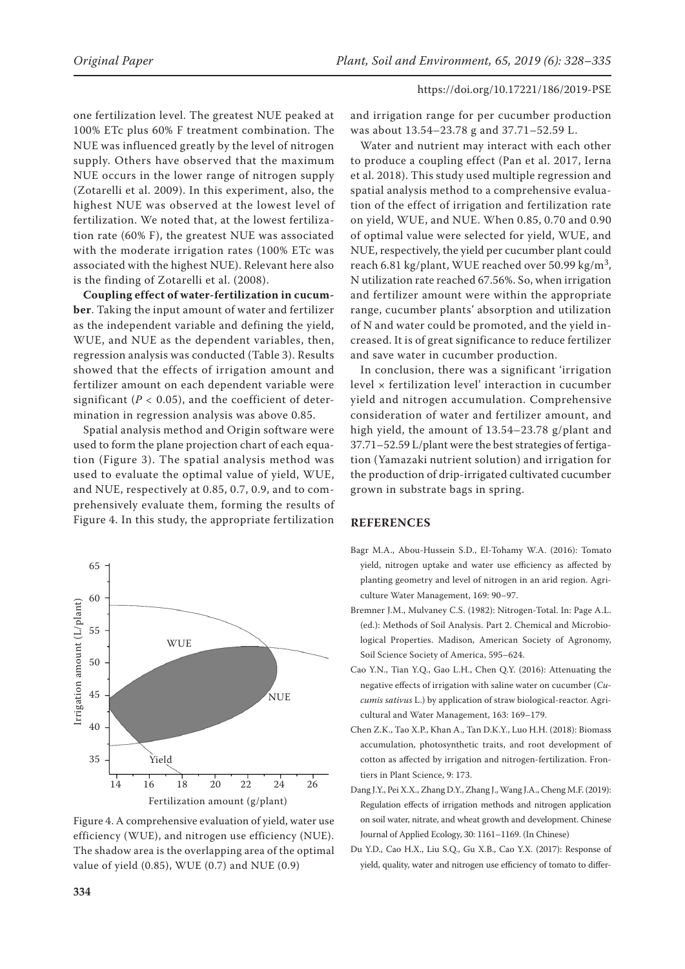one fertilization level. The greatest NUE peaked at 100% ETc plus 60% F treatment combination. The NUE was influenced greatly by the level of nitrogen supply. Others have observed that the maximum NUE occurs in the lower range of nitrogen supply (Zotarelli et al. 2009). In this experiment, also, the highest NUE was observed at the lowest level of fertilization. We noted that, at the lowest fertilization rate (60% F), the greatest NUE was associated with the moderate irrigation rates (100% ETc was associated with the highest NUE). Relevant here also is the finding of Zotarelli et al. (2008).

**Coupling effect of water-fertilization in cucumber**. Taking the input amount of water and fertilizer as the independent variable and defining the yield, WUE, and NUE as the dependent variables, then, regression analysis was conducted (Table 3). Results showed that the effects of irrigation amount and fertilizer amount on each dependent variable were significant  $(P < 0.05)$ , and the coefficient of determination in regression analysis was above 0.85.

Spatial analysis method and Origin software were used to form the plane projection chart of each equation (Figure 3). The spatial analysis method was used to evaluate the optimal value of yield, WUE, and NUE, respectively at 0.85, 0.7, 0.9, and to comprehensively evaluate them, forming the results of Figure 4. In this study, the appropriate fertilization



Figure 4. A comprehensive evaluation of yield, water use efficiency (WUE), and nitrogen use efficiency (NUE). The shadow area is the overlapping area of the optimal value of yield (0.85), WUE (0.7) and NUE (0.9)

and irrigation range for per cucumber production was about 13.54–23.78 g and 37.71–52.59 L.

Water and nutrient may interact with each other to produce a coupling effect (Pan et al. 2017, Ierna et al. 2018). This study used multiple regression and spatial analysis method to a comprehensive evaluation of the effect of irrigation and fertilization rate on yield, WUE, and NUE. When 0.85, 0.70 and 0.90 of optimal value were selected for yield, WUE, and NUE, respectively, the yield per cucumber plant could reach 6.81 kg/plant, WUE reached over 50.99 kg/m<sup>3</sup>, N utilization rate reached 67.56%. So, when irrigation and fertilizer amount were within the appropriate range, cucumber plants' absorption and utilization of N and water could be promoted, and the yield increased. It is of great significance to reduce fertilizer and save water in cucumber production.

In conclusion, there was a significant 'irrigation level × fertilization level' interaction in cucumber yield and nitrogen accumulation. Comprehensive consideration of water and fertilizer amount, and high yield, the amount of 13.54–23.78 g/plant and 37.71–52.59 L/plant were the best strategies of fertigation (Yamazaki nutrient solution) and irrigation for the production of drip-irrigated cultivated cucumber grown in substrate bags in spring.

## **REFERENCES**

- Bagr M.A., Abou-Hussein S.D., El-Tohamy W.A. (2016): Tomato yield, nitrogen uptake and water use efficiency as affected by planting geometry and level of nitrogen in an arid region. Agriculture Water Management, 169: 90–97.
- Bremner J.M., Mulvaney C.S. (1982): Nitrogen-Total. In: Page A.L. (ed.): Methods of Soil Analysis. Part 2. Chemical and Microbiological Properties. Madison, American Society of Agronomy, Soil Science Society of America, 595–624.
- Cao Y.N., Tian Y.Q., Gao L.H., Chen Q.Y. (2016): Attenuating the negative effects of irrigation with saline water on cucumber (*Cucumis sativus* L.) by application of straw biological-reactor. Agricultural and Water Management, 163: 169–179.
- Chen Z.K., Tao X.P., Khan A., Tan D.K.Y., Luo H.H. (2018): Biomass accumulation, photosynthetic traits, and root development of cotton as affected by irrigation and nitrogen-fertilization. Frontiers in Plant Science, 9: 173.
- Dang J.Y., Pei X.X., Zhang D.Y., Zhang J., Wang J.A., Cheng M.F. (2019): Regulation effects of irrigation methods and nitrogen application on soil water, nitrate, and wheat growth and development. Chinese Journal of Applied Ecology, 30: 1161–1169. (In Chinese)
- Du Y.D., Cao H.X., Liu S.Q., Gu X.B., Cao Y.X. (2017): Response of yield, quality, water and nitrogen use efficiency of tomato to differ-